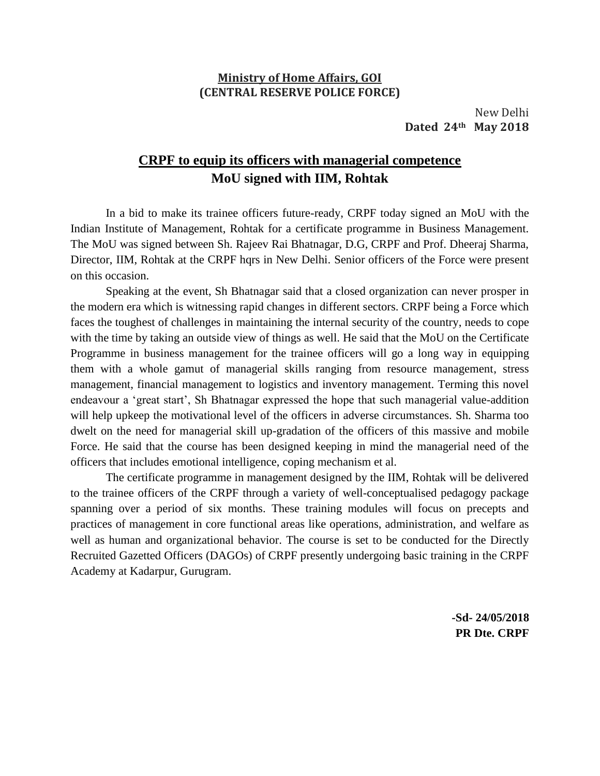## **Ministry of Home Affairs, GOI (CENTRAL RESERVE POLICE FORCE)**

New Delhi **Dated 24th May 2018**

## **CRPF to equip its officers with managerial competence MoU signed with IIM, Rohtak**

In a bid to make its trainee officers future-ready, CRPF today signed an MoU with the Indian Institute of Management, Rohtak for a certificate programme in Business Management. The MoU was signed between Sh. Rajeev Rai Bhatnagar, D.G, CRPF and Prof. Dheeraj Sharma, Director, IIM, Rohtak at the CRPF hqrs in New Delhi. Senior officers of the Force were present on this occasion.

Speaking at the event, Sh Bhatnagar said that a closed organization can never prosper in the modern era which is witnessing rapid changes in different sectors. CRPF being a Force which faces the toughest of challenges in maintaining the internal security of the country, needs to cope with the time by taking an outside view of things as well. He said that the MoU on the Certificate Programme in business management for the trainee officers will go a long way in equipping them with a whole gamut of managerial skills ranging from resource management, stress management, financial management to logistics and inventory management. Terming this novel endeavour a 'great start', Sh Bhatnagar expressed the hope that such managerial value-addition will help upkeep the motivational level of the officers in adverse circumstances. Sh. Sharma too dwelt on the need for managerial skill up-gradation of the officers of this massive and mobile Force. He said that the course has been designed keeping in mind the managerial need of the officers that includes emotional intelligence, coping mechanism et al.

The certificate programme in management designed by the IIM, Rohtak will be delivered to the trainee officers of the CRPF through a variety of well-conceptualised pedagogy package spanning over a period of six months. These training modules will focus on precepts and practices of management in core functional areas like operations, administration, and welfare as well as human and organizational behavior. The course is set to be conducted for the Directly Recruited Gazetted Officers (DAGOs) of CRPF presently undergoing basic training in the CRPF Academy at Kadarpur, Gurugram.

> **-Sd- 24/05/2018 PR Dte. CRPF**